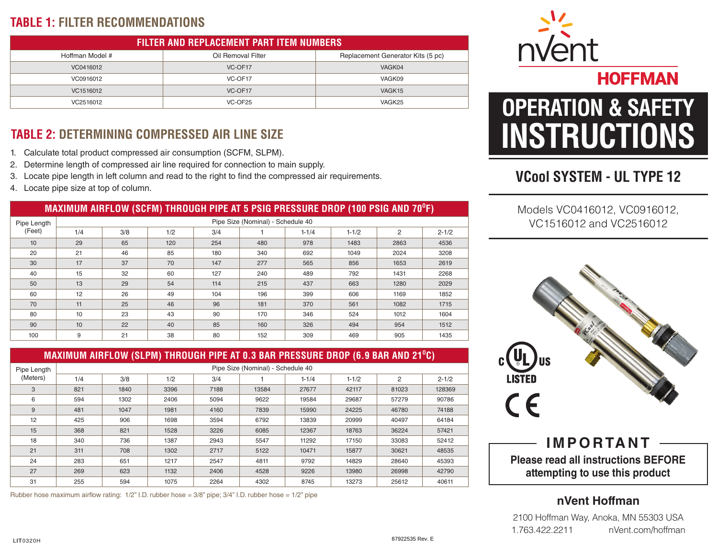## **TABLE 1: FILTER RECOMMENDATIONS**

| <b>FILTER AND REPLACEMENT PART ITEM NUMBERS</b> |                    |                                   |  |  |  |  |  |
|-------------------------------------------------|--------------------|-----------------------------------|--|--|--|--|--|
| Hoffman Model #                                 | Oil Removal Filter | Replacement Generator Kits (5 pc) |  |  |  |  |  |
| VC0416012                                       | VC-OF17            | VAGK04                            |  |  |  |  |  |
| VC0916012                                       | VC-OF17            | VAGK09                            |  |  |  |  |  |
| VC1516012                                       | VC-OF17            | VAGK <sub>15</sub>                |  |  |  |  |  |
| VC2516012                                       | VC-OF25            | VAGK25                            |  |  |  |  |  |

# **TABLE 2: DETERMINING COMPRESSED AIR LINE SIZE**

- 1. Calculate total product compressed air consumption (SCFM, SLPM).
- 2. Determine length of compressed air line required for connection to main supply.
- 3. Locate pipe length in left column and read to the right to find the compressed air requirements.
- 4. Locate pipe size at top of column.

#### **MAXIMUM AIRFLOW (SCFM) THROUGH PIPE AT 5 PSIG PRESSURE DROP (100 PSIG AND 70<sup>O</sup> F)**

| Pipe Length | Pipe Size (Nominal) - Schedule 40 |     |     |     |     |           |           |      |           |
|-------------|-----------------------------------|-----|-----|-----|-----|-----------|-----------|------|-----------|
| (Feet)      | 1/4                               | 3/8 | 1/2 | 3/4 |     | $1 - 1/4$ | $1 - 1/2$ | 2    | $2 - 1/2$ |
| 10          | 29                                | 65  | 120 | 254 | 480 | 978       | 1483      | 2863 | 4536      |
| 20          | 21                                | 46  | 85  | 180 | 340 | 692       | 1049      | 2024 | 3208      |
| 30          | 17                                | 37  | 70  | 147 | 277 | 565       | 856       | 1653 | 2619      |
| 40          | 15                                | 32  | 60  | 127 | 240 | 489       | 792       | 1431 | 2268      |
| 50          | 13                                | 29  | 54  | 114 | 215 | 437       | 663       | 1280 | 2029      |
| 60          | 12                                | 26  | 49  | 104 | 196 | 399       | 606       | 1169 | 1852      |
| 70          | 11                                | 25  | 46  | 96  | 181 | 370       | 561       | 1082 | 1715      |
| 80          | 10                                | 23  | 43  | 90  | 170 | 346       | 524       | 1012 | 1604      |
| 90          | 10                                | 22  | 40  | 85  | 160 | 326       | 494       | 954  | 1512      |
| 100         | 9                                 | 21  | 38  | 80  | 152 | 309       | 469       | 905  | 1435      |

#### **MAXIMUM AIRFLOW (SLPM) THROUGH PIPE AT 0.3 BAR PRESSURE DROP (6.9 BAR AND 21<sup>O</sup> C)**

| Pipe Length | Pipe Size (Nominal) - Schedule 40 |      |      |      |       |           |           |                |           |
|-------------|-----------------------------------|------|------|------|-------|-----------|-----------|----------------|-----------|
| (Meters)    | 1/4                               | 3/8  | 1/2  | 3/4  |       | $1 - 1/4$ | $1 - 1/2$ | $\overline{2}$ | $2 - 1/2$ |
| 3           | 821                               | 1840 | 3396 | 7188 | 13584 | 27677     | 42117     | 81023          | 128369    |
| 6           | 594                               | 1302 | 2406 | 5094 | 9622  | 19584     | 29687     | 57279          | 90786     |
| 9           | 481                               | 1047 | 1981 | 4160 | 7839  | 15990     | 24225     | 46780          | 74188     |
| 12          | 425                               | 906  | 1698 | 3594 | 6792  | 13839     | 20999     | 40497          | 64184     |
| 15          | 368                               | 821  | 1528 | 3226 | 6085  | 12367     | 18763     | 36224          | 57421     |
| 18          | 340                               | 736  | 1387 | 2943 | 5547  | 11292     | 17150     | 33083          | 52412     |
| 21          | 311                               | 708  | 1302 | 2717 | 5122  | 10471     | 15877     | 30621          | 48535     |
| 24          | 283                               | 651  | 1217 | 2547 | 4811  | 9792      | 14829     | 28640          | 45393     |
| 27          | 269                               | 623  | 1132 | 2406 | 4528  | 9226      | 13980     | 26998          | 42790     |
| 31          | 255                               | 594  | 1075 | 2264 | 4302  | 8745      | 13273     | 25612          | 40611     |

Rubber hose maximum airflow rating: 1/2" I.D. rubber hose = 3/8" pipe; 3/4" I.D. rubber hose = 1/2" pipe



# **HOFFMAN OPERATION & SAFETY INSTRUCTIONS**

# **VCool SYSTEM - UL TYPE 12**

Models VC0416012, VC0916012, VC1516012 and VC2516012



#### **Please read all instructions BEFORE attempting to use this product IMPORTANT**

#### **nVent Hoffman**

2100 Hoffman Way, Anoka, MN 55303 USA 1.763.422.2211 nVent.com/hoffman